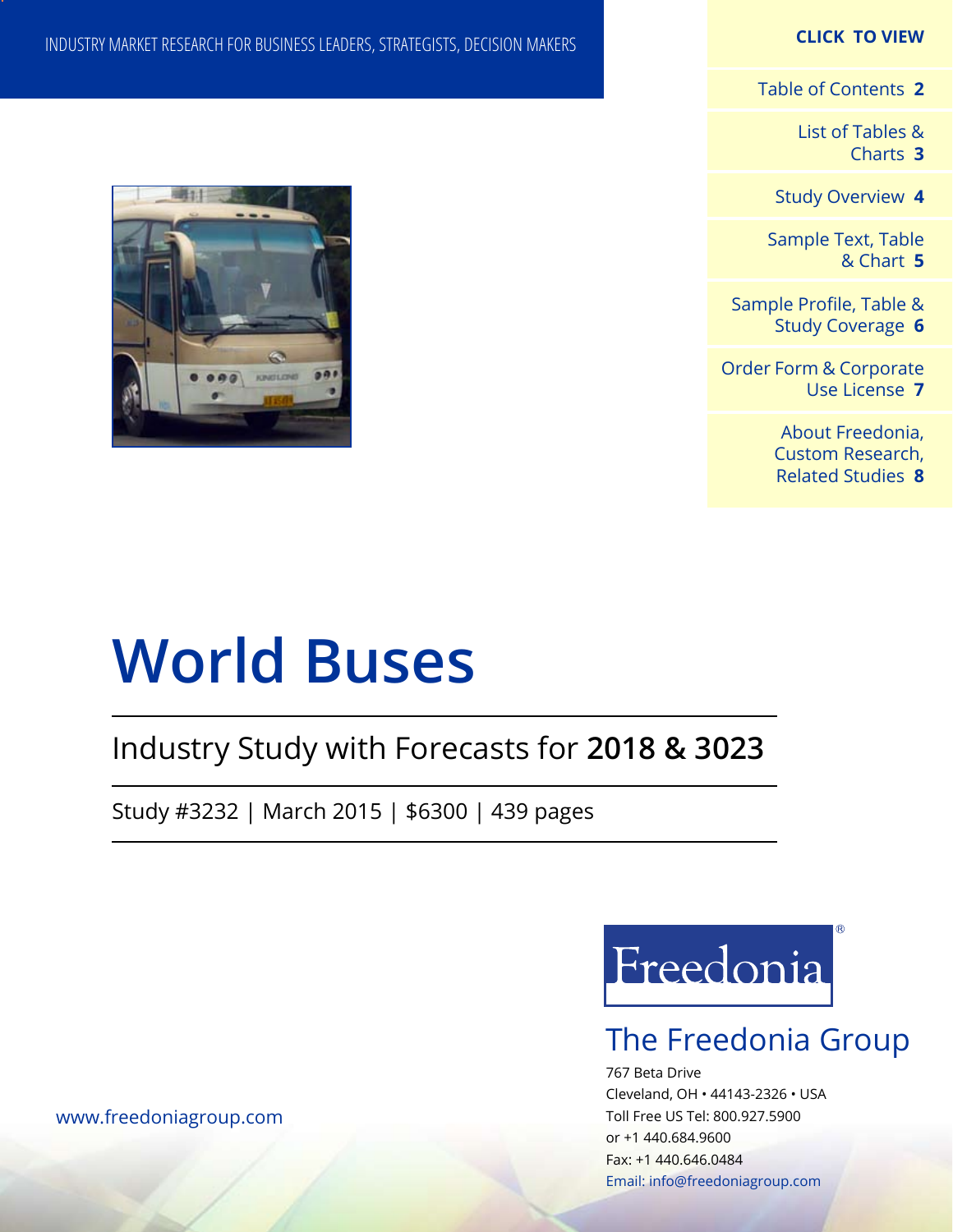#### **CLICK TO VIEW**

[Table of Contents](#page-1-0) **2**

[List of Tables &](#page-2-0) [Charts](#page-2-0) **3**

[Study Overview](#page-3-0) **4**

[Sample Text, Table](#page-4-0) [& Chart](#page-4-0) **5**

[Sample Profile, Table &](#page-5-0) [Study Coverage](#page-5-0) **6**

[Order Form & Corporate](#page-6-0) [Use License](#page-6-0) **7**

> [About Freedonia,](#page-7-0) [Custom Research,](#page-7-0)  [Related Studies](#page-7-0) **8**

#### INDUSTRY MARKET RESEARCH FOR BUSINESS LEADERS, STRATEGISTS, DECISION MAKERS



# **World Buses**

# Industry Study with Forecasts for **2018 & 3023**

Study #3232 | March 2015 | \$6300 | 439 pages



## The Freedonia Group

767 Beta Drive Cleveland, OH • 44143-2326 • USA Toll Free US Tel: 800.927.5900 or +1 440.684.9600 Fax: +1 440.646.0484 Email: [info@freedoniagroup.com](mailto:info@freedoniagroup.com)

[www.freedoniagroup.com](http://www.freedoniagroup.com/Home.aspx?ReferrerId=FM-Bro)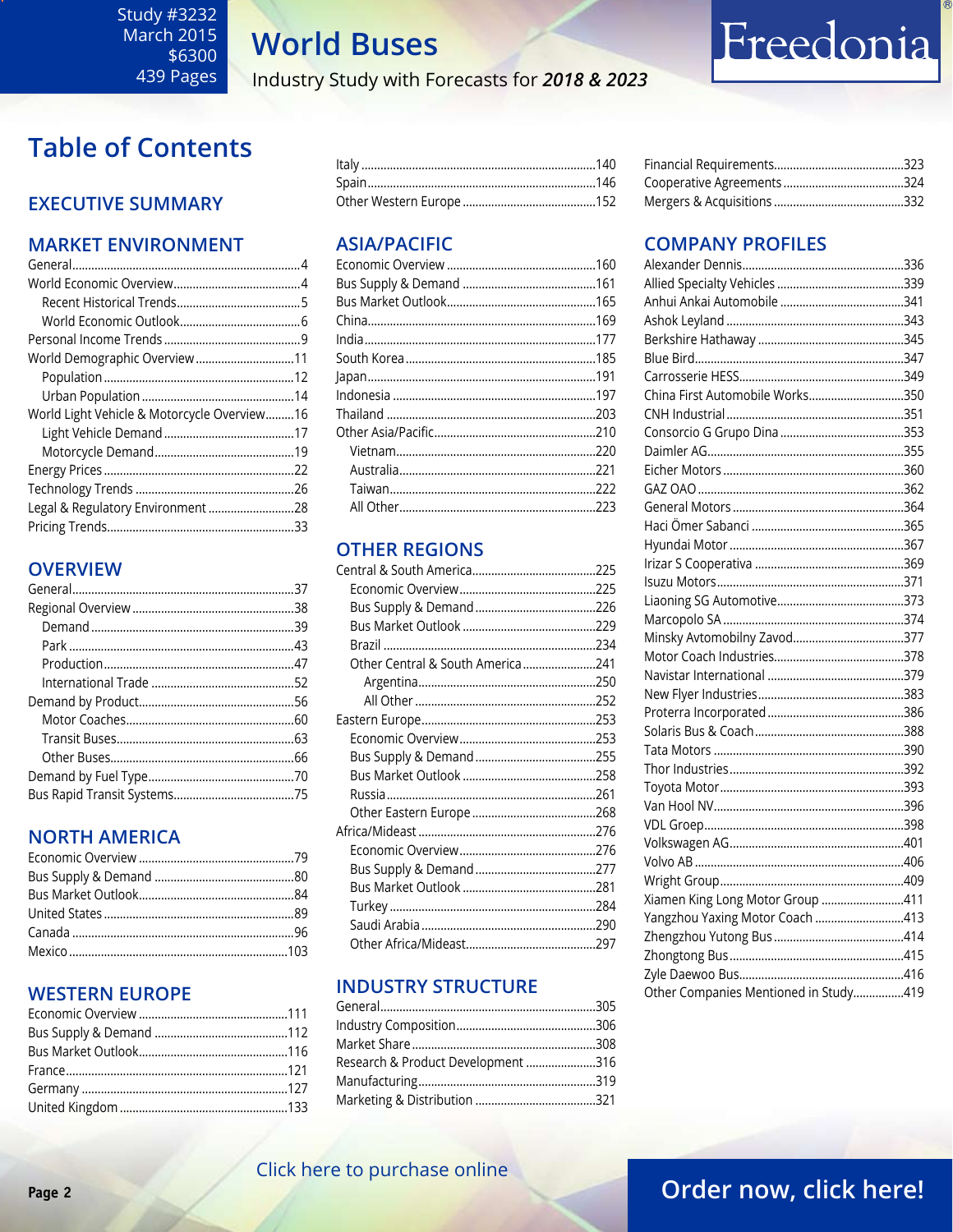## **World Buses**

Industry Study with Forecasts for 2018 & 2023

### <span id="page-1-0"></span>**Table of Contents**

#### **EXECUTIVE SUMMARY**

#### **MARKET ENVIRONMENT**

| World Demographic Overview11                |  |
|---------------------------------------------|--|
|                                             |  |
|                                             |  |
| World Light Vehicle & Motorcycle Overview16 |  |
|                                             |  |
|                                             |  |
|                                             |  |
|                                             |  |
| Legal & Regulatory Environment 28           |  |
|                                             |  |

#### **OVERVIEW**

#### **NORTH AMERICA**

#### **WESTERN EUROPE**

#### **ASIA/PACIFIC**

#### **OTHER REGIONS**

| Other Central & South America241 |  |
|----------------------------------|--|
|                                  |  |
|                                  |  |
|                                  |  |
|                                  |  |
|                                  |  |
|                                  |  |
|                                  |  |
|                                  |  |
|                                  |  |
|                                  |  |
|                                  |  |
|                                  |  |
|                                  |  |
|                                  |  |
|                                  |  |

#### **INDUSTRY STRUCTURE**

| Research & Product Development 316 |  |
|------------------------------------|--|
|                                    |  |
|                                    |  |
|                                    |  |

#### 

Freedonia

### COMPANY PROFILED

| UIVIFAINT FRUFILEJ                    |  |
|---------------------------------------|--|
|                                       |  |
|                                       |  |
|                                       |  |
|                                       |  |
|                                       |  |
|                                       |  |
|                                       |  |
| China First Automobile Works350       |  |
|                                       |  |
|                                       |  |
|                                       |  |
|                                       |  |
|                                       |  |
|                                       |  |
|                                       |  |
|                                       |  |
|                                       |  |
|                                       |  |
|                                       |  |
|                                       |  |
| Minsky Avtomobilny Zavod377           |  |
|                                       |  |
|                                       |  |
|                                       |  |
|                                       |  |
|                                       |  |
|                                       |  |
|                                       |  |
|                                       |  |
|                                       |  |
|                                       |  |
|                                       |  |
|                                       |  |
|                                       |  |
| Xiamen King Long Motor Group 411      |  |
| Yangzhou Yaxing Motor Coach 413       |  |
|                                       |  |
|                                       |  |
|                                       |  |
| Other Companies Mentioned in Study419 |  |

#### Click here to purchase online

### Order now, click here!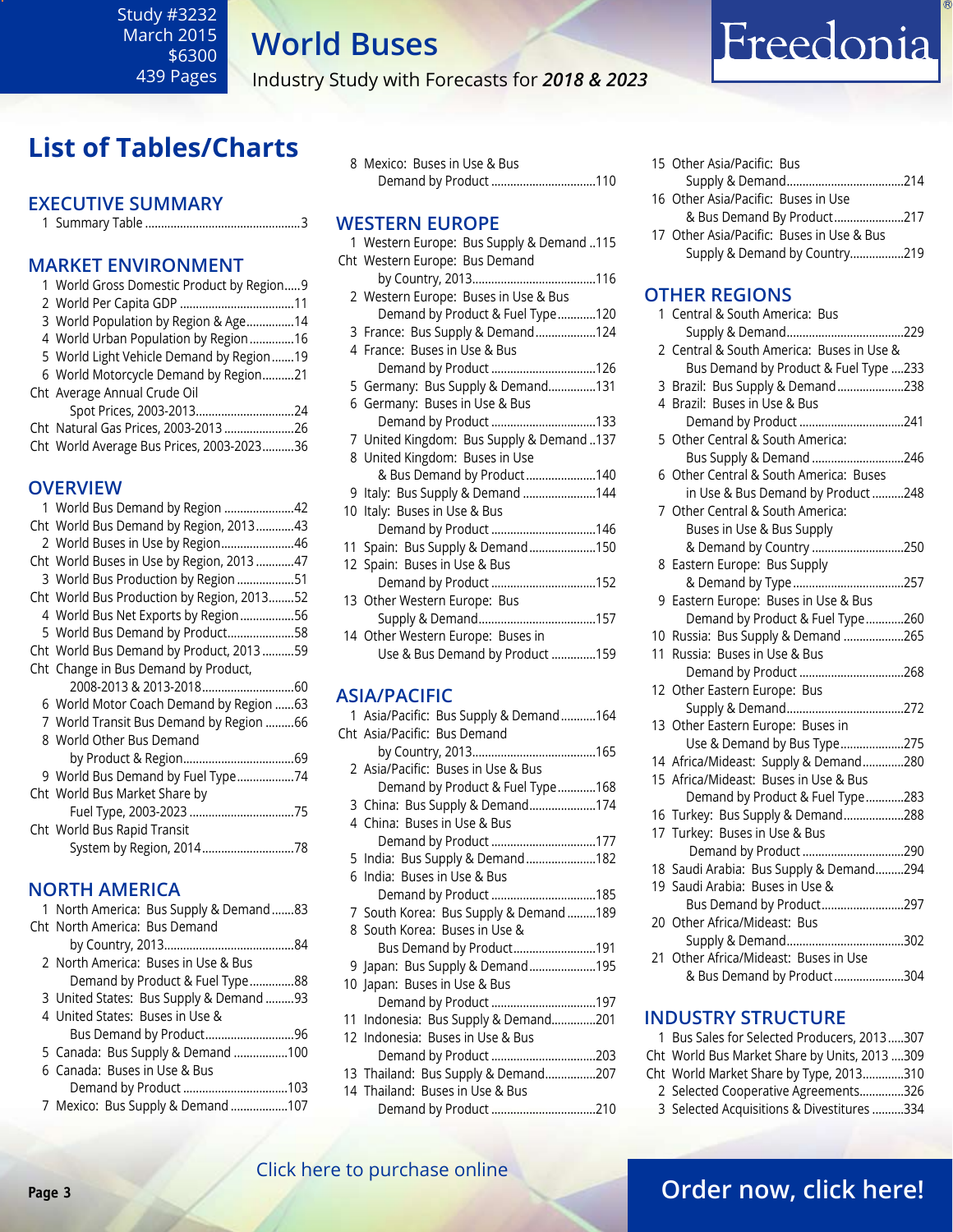<span id="page-2-0"></span>Study #3232 March 2015 \$6300 439 Pages

# **World Buses**

Industry Study with Forecasts for *2018 & 2023*

## **List of Tables/Charts**

#### **Executive Summary**

1 Summary Table .................................................3

#### **Market EnvironmenT**

| 1 World Gross Domestic Product by Region 9 |  |
|--------------------------------------------|--|
|                                            |  |
| 3 World Population by Region & Age14       |  |
| 4 World Urban Population by Region 16      |  |
| 5 World Light Vehicle Demand by Region19   |  |
| 6 World Motorcycle Demand by Region21      |  |
| Cht Average Annual Crude Oil               |  |
| Spot Prices, 2003-201324                   |  |
| Cht Natural Gas Prices, 2003-201326        |  |
| Cht World Average Bus Prices, 2003-202336  |  |
|                                            |  |

#### **OVERVIEW**

| 1 World Bus Demand by Region 42            |  |
|--------------------------------------------|--|
| Cht World Bus Demand by Region, 201343     |  |
| 2 World Buses in Use by Region46           |  |
| Cht World Buses in Use by Region, 201347   |  |
| 3 World Bus Production by Region 51        |  |
| Cht World Bus Production by Region, 201352 |  |
| 4 World Bus Net Exports by Region56        |  |
| 5 World Bus Demand by Product58            |  |
| Cht World Bus Demand by Product, 2013 59   |  |
| Cht Change in Bus Demand by Product,       |  |
|                                            |  |
| 6 World Motor Coach Demand by Region  63   |  |
| 7 World Transit Bus Demand by Region 66    |  |
| 8 World Other Bus Demand                   |  |
|                                            |  |
| 9 World Bus Demand by Fuel Type74          |  |
| Cht World Bus Market Share by              |  |
|                                            |  |
| Cht World Bus Rapid Transit                |  |
| System by Region, 201478                   |  |
|                                            |  |

#### **NORTH AMERICA**

| 1 North America: Bus Supply & Demand 83 |
|-----------------------------------------|
| Cht North America: Bus Demand           |
|                                         |
| 2 North America: Buses in Use & Bus     |
| Demand by Product & Fuel Type88         |
| 3 United States: Bus Supply & Demand 93 |
| 4 United States: Buses in Use &         |
|                                         |
| 5 Canada: Bus Supply & Demand 100       |
| 6 Canada: Buses in Use & Bus            |
| Demand by Product 103                   |
| 7 Mexico: Bus Supply & Demand 107       |

8 Mexico: Buses in Use & Bus Demand by Product .................................110

#### **WESTERN EUROPE**

| 115. Western Europe: Bus Supply & Demand |
|------------------------------------------|
| Cht Western Europe: Bus Demand           |
|                                          |
| 2 Western Europe: Buses in Use & Bus     |
| Demand by Product & Fuel Type120         |
| 3 France: Bus Supply & Demand124         |
| 4 France: Buses in Use & Bus             |
| Demand by Product126                     |
| 5 Germany: Bus Supply & Demand131        |
| 6 Germany: Buses in Use & Bus            |
| Demand by Product 133                    |
| 7 United Kingdom: Bus Supply & Demand137 |
| 8 United Kingdom: Buses in Use           |
| & Bus Demand by Product140               |
| 9 Italy: Bus Supply & Demand 144         |
| 10 Italy: Buses in Use & Bus             |
| Demand by Product 146                    |
| 11 Spain: Bus Supply & Demand150         |
| 12 Spain: Buses in Use & Bus             |
| Demand by Product 152                    |
| 13 Other Western Europe: Bus             |
|                                          |
| 14 Other Western Europe: Buses in        |
| Use & Bus Demand by Product 159          |
|                                          |

#### **ASIA/PACIFIC**

| 1 Asia/Pacific: Bus Supply & Demand164 |  |
|----------------------------------------|--|
| Cht Asia/Pacific: Bus Demand           |  |
|                                        |  |
| 2 Asia/Pacific: Buses in Use & Bus     |  |
| Demand by Product & Fuel Type168       |  |
| 3 China: Bus Supply & Demand174        |  |
| 4 China: Buses in Use & Bus            |  |
| Demand by Product 177                  |  |
| 5 India: Bus Supply & Demand182        |  |
| 6 India: Buses in Use & Bus            |  |
| Demand by Product 185                  |  |
| 7 South Korea: Bus Supply & Demand189  |  |
| 8 South Korea: Buses in Use &          |  |
| Bus Demand by Product191               |  |
| 9 Japan: Bus Supply & Demand195        |  |
| 10 Japan: Buses in Use & Bus           |  |
| Demand by Product 197                  |  |
| 11 Indonesia: Bus Supply & Demand201   |  |
| 12 Indonesia: Buses in Use & Bus       |  |
| Demand by Product 203                  |  |
| 13 Thailand: Bus Supply & Demand207    |  |
| 14 Thailand: Buses in Use & Bus        |  |
| Demand by Product 210                  |  |

| 15 Other Asia/Pacific: Bus                |  |
|-------------------------------------------|--|
|                                           |  |
| 16 Other Asia/Pacific: Buses in Use       |  |
| & Bus Demand By Product217                |  |
| 17 Other Asia/Pacific: Buses in Use & Bus |  |
| Supply & Demand by Country219             |  |

Freedonia

#### **OTHER REGIONS**

|    | 1 Central & South America: Bus                                                 |
|----|--------------------------------------------------------------------------------|
| 2  | Central & South America: Buses in Use &                                        |
|    | Bus Demand by Product & Fuel Type 233                                          |
|    | 3 Brazil: Bus Supply & Demand238                                               |
|    | 4 Brazil: Buses in Use & Bus                                                   |
|    | Demand by Product 241                                                          |
|    | 5 Other Central & South America:                                               |
|    | Bus Supply & Demand 246                                                        |
|    | 6 Other Central & South America: Buses                                         |
|    | in Use & Bus Demand by Product248                                              |
|    | 7 Other Central & South America:                                               |
|    | Buses in Use & Bus Supply                                                      |
|    | & Demand by Country 250                                                        |
|    | 8 Eastern Europe: Bus Supply                                                   |
|    | & Demand by Type257                                                            |
|    | 9 Eastern Europe: Buses in Use & Bus                                           |
|    | Demand by Product & Fuel Type260                                               |
|    | 10 Russia: Bus Supply & Demand 265                                             |
|    | 11 Russia: Buses in Use & Bus                                                  |
|    | Demand by Product 268                                                          |
|    | 12 Other Eastern Europe: Bus                                                   |
|    |                                                                                |
|    | 13 Other Eastern Europe: Buses in                                              |
|    | Use & Demand by Bus Type275                                                    |
|    | 14 Africa/Mideast: Supply & Demand280<br>15 Africa/Mideast: Buses in Use & Bus |
|    | Demand by Product & Fuel Type283                                               |
|    | 16 Turkey: Bus Supply & Demand288                                              |
|    | 17 Turkey: Buses in Use & Bus                                                  |
|    | Demand by Product 290                                                          |
|    | 18 Saudi Arabia: Bus Supply & Demand294                                        |
|    | 19 Saudi Arabia: Buses in Use &                                                |
|    | Bus Demand by Product297                                                       |
|    | 20 Other Africa/Mideast: Bus                                                   |
|    |                                                                                |
| 21 | Other Africa/Mideast: Buses in Use                                             |
|    | & Bus Demand by Product 304                                                    |
|    |                                                                                |

#### **INDUSTRY STRUCTURE**

| 1 Bus Sales for Selected Producers, 2013307  |  |
|----------------------------------------------|--|
| Cht World Bus Market Share by Units, 2013309 |  |
| Cht World Market Share by Type, 2013310      |  |
| 2 Selected Cooperative Agreements326         |  |
| 3 Selected Acquisitions & Divestitures 334   |  |
|                                              |  |

#### [Click here to purchase online](http://www.freedoniagroup.com/DocumentDetails.aspx?Referrerid=FM-Bro&StudyID=3232)

### **Page 3 CHER HERE IS PARTICLE OF PARTICLE 2 [Order now, click here!](#page-6-0)**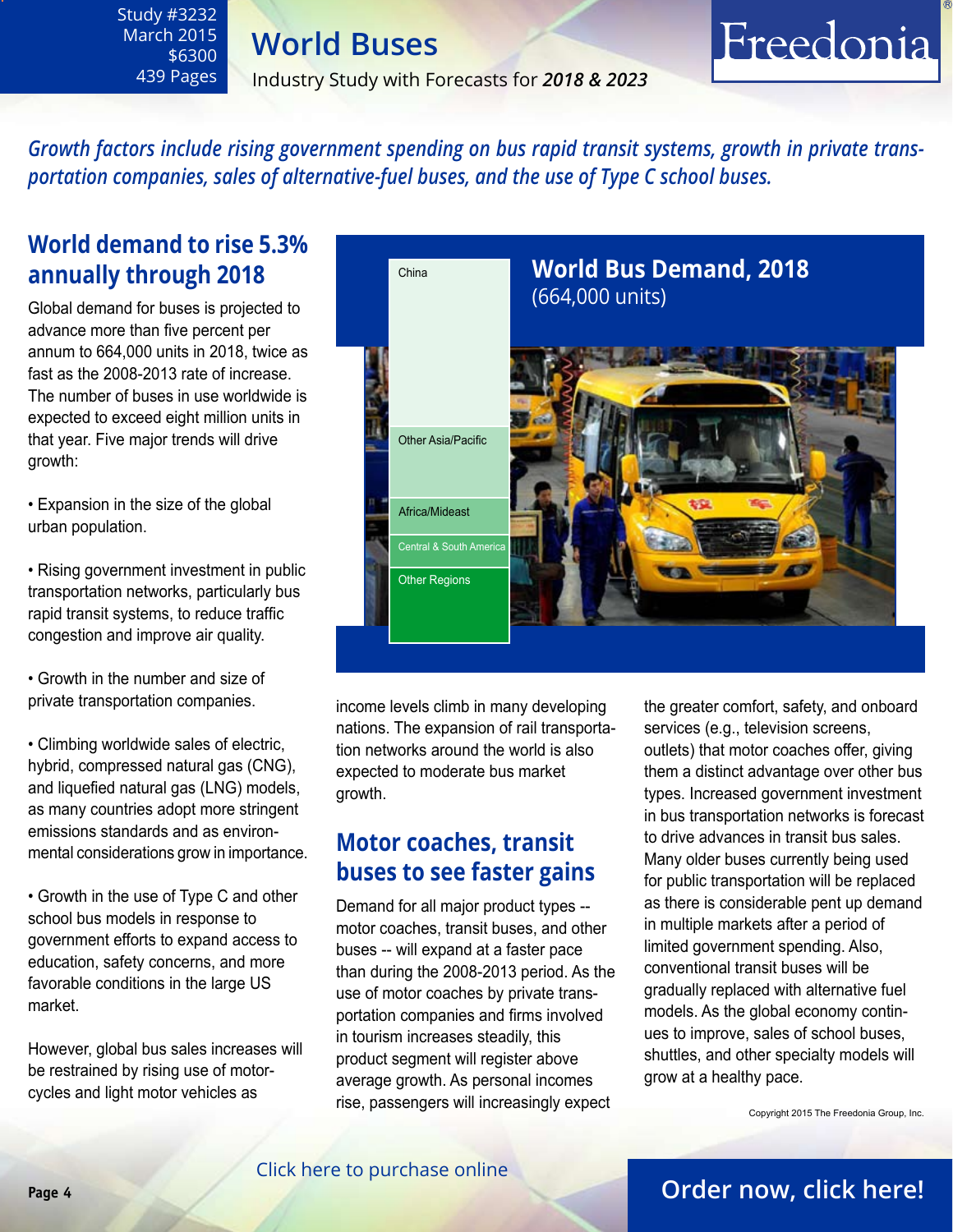## **World Buses**

Industry Study with Forecasts for *2018 & 2023*

# Freedonia

*Growth factors include rising government spending on bus rapid transit systems, growth in private transportation companies, sales of alternative-fuel buses, and the use of Type C school buses.* 

### **World demand to rise 5.3% annually through 2018**

<span id="page-3-0"></span>Study #3232 March 2015 \$6300 439 Pages

Global demand for buses is projected to advance more than five percent per annum to 664,000 units in 2018, twice as fast as the 2008-2013 rate of increase. The number of buses in use worldwide is expected to exceed eight million units in that year. Five major trends will drive growth:

• Expansion in the size of the global urban population.

- Rising government investment in public transportation networks, particularly bus rapid transit systems, to reduce traffic congestion and improve air quality.
- Growth in the number and size of private transportation companies.

• Climbing worldwide sales of electric, hybrid, compressed natural gas (CNG), and liquefied natural gas (LNG) models, as many countries adopt more stringent emissions standards and as environmental considerations grow in importance.

• Growth in the use of Type C and other school bus models in response to government efforts to expand access to education, safety concerns, and more favorable conditions in the large US market.

However, global bus sales increases will be restrained by rising use of motorcycles and light motor vehicles as



income levels climb in many developing nations. The expansion of rail transportation networks around the world is also expected to moderate bus market growth.

### **Motor coaches, transit buses to see faster gains**

Demand for all major product types - motor coaches, transit buses, and other buses -- will expand at a faster pace than during the 2008-2013 period. As the use of motor coaches by private transportation companies and firms involved in tourism increases steadily, this product segment will register above average growth. As personal incomes rise, passengers will increasingly expect

the greater comfort, safety, and onboard services (e.g., television screens, outlets) that motor coaches offer, giving them a distinct advantage over other bus types. Increased government investment in bus transportation networks is forecast to drive advances in transit bus sales. Many older buses currently being used for public transportation will be replaced as there is considerable pent up demand in multiple markets after a period of limited government spending. Also, conventional transit buses will be gradually replaced with alternative fuel models. As the global economy continues to improve, sales of school buses, shuttles, and other specialty models will grow at a healthy pace.

Copyright 2015 The Freedonia Group, Inc.

#### [Click here to purchase online](http://www.freedoniagroup.com/DocumentDetails.aspx?Referrerid=FM-Bro&StudyID=3232)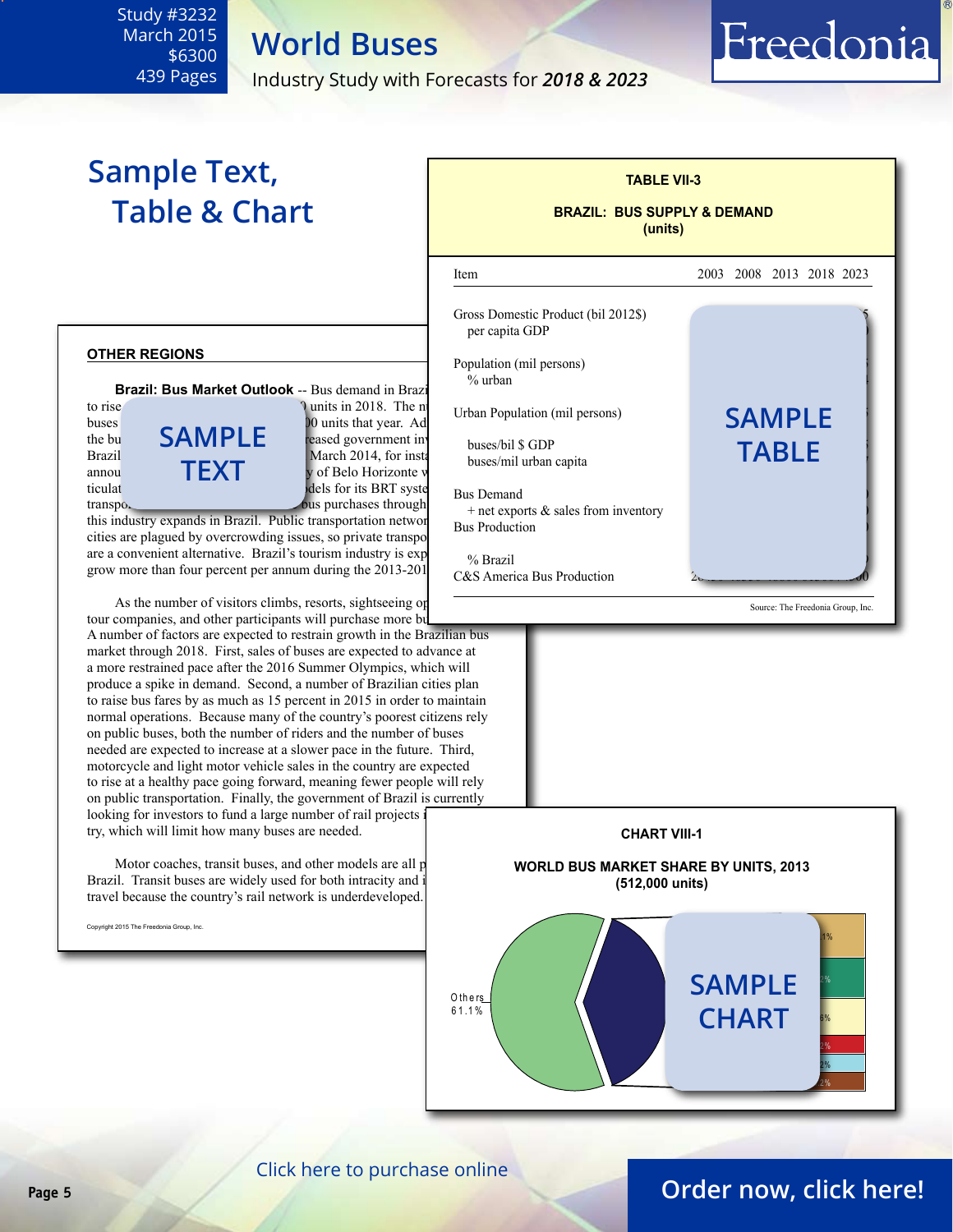#### <span id="page-4-0"></span>Study #3232 March 2015 \$6300 439 Pages

Industry Study with Forecasts for *2018 & 2023*

**World Buses**

# **Sample Text, Table & Chart**

#### **other regions**

**Brazil: Bus Market Outlook** -- Bus demand in Brazi

to rise  $\frac{1}{4}$  units in 2018. The number of  $\frac{1}{4}$  units in 2018. The number of  $\frac{1}{4}$  units in 2018. buses  $\begin{bmatrix} 1 & 0 \\ 0 & 1 \end{bmatrix}$  is expected to reach 485,000 units that year. Ad the bus **SAMPLE** reased government in buse  $\begin{array}{ccc}\n\text{The out} & \text{Mil} & \text{The second government in} \\
\text{Brazil} & \text{March 2014, for inst} & \text{hucoc/mil when} \\
\end{array}$ annou  $\parallel \parallel \parallel \times \parallel$  v of Belo Horizonte v ticulat buses and 43 conventional models for its BRT system. transportation firms will also increase bus purchases through **text**

this industry expands in Brazil. Public transportation network cities are plagued by overcrowding issues, so private transportation figures are a convenient alternative. Brazil's tourism industry is  $\exp$  expecting to the Brazil grow more than four percent per annum during the 2013-201

As the number of visitors climbs, resorts, sightseeing operations, the number of visitors climbs, resorts, sightseeing operations, tour companies, and other participants will purchase more bust

A number of factors are expected to restrain growth in the Brazilian bus market through 2018. First, sales of buses are expected to advance at a more restrained pace after the 2016 Summer Olympics, which will produce a spike in demand. Second, a number of Brazilian cities plan to raise bus fares by as much as 15 percent in 2015 in order to maintain normal operations. Because many of the country's poorest citizens rely on public buses, both the number of riders and the number of buses needed are expected to increase at a slower pace in the future. Third, motorcycle and light motor vehicle sales in the country are expected to rise at a healthy pace going forward, meaning fewer people will rely on public transportation. Finally, the government of Brazil is currently looking for investors to fund a large number of rail projects try, which will limit how many buses are needed.

Motor coaches, transit buses, and other models are all p Brazil. Transit buses are widely used for both intracity and interactive travel because the country's rail network is underdeveloped.

Copyright 2015 The Freedonia Group, Inc.



**TABLE VII-3**

Source: The Freedonia Group, Inc.

Freedonia



[Click here to purchase online](http://www.freedoniagroup.com/DocumentDetails.aspx?Referrerid=FM-Bro&StudyID=3232)

### **Page 5 [Order now, click here!](#page-6-0)**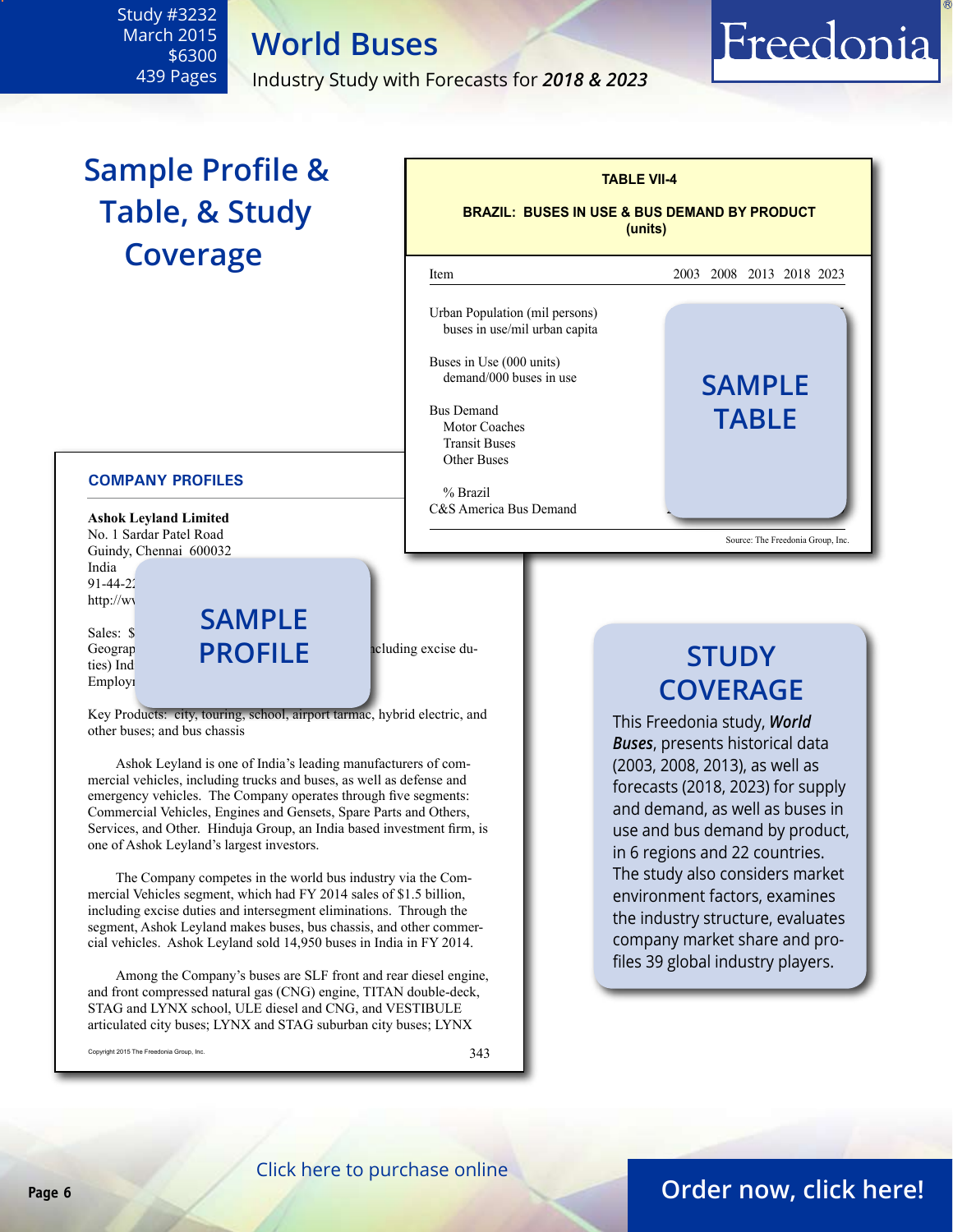**World Buses**

March 2015 \$6300 439 Pages

<span id="page-5-0"></span>Study #3232

Industry Study with Forecasts for *2018 & 2023*

# **Sample Profile & Table, & Study Coverage**

#### **COMPANY PROFILES**

**Ashok Leyland Limited** No. 1 Sardar Patel Road Guindy, Chennai 600032 India 91-44-22 http://ww

Sales: \$1.7 billion (Figure ties) Ind Employi

Geograp**hic Sales:**  $\bigcap_{\text{the solution of the function}} PROFILE$ **sample**

Key Products: city, touring, school, airport tarmac, hybrid electric, and other buses; and bus chassis

Ashok Leyland is one of India's leading manufacturers of commercial vehicles, including trucks and buses, as well as defense and emergency vehicles. The Company operates through five segments: Commercial Vehicles, Engines and Gensets, Spare Parts and Others, Services, and Other. Hinduja Group, an India based investment firm, is one of Ashok Leyland's largest investors.

The Company competes in the world bus industry via the Commercial Vehicles segment, which had FY 2014 sales of \$1.5 billion, including excise duties and intersegment eliminations. Through the segment, Ashok Leyland makes buses, bus chassis, and other commercial vehicles. Ashok Leyland sold 14,950 buses in India in FY 2014.

Among the Company's buses are SLF front and rear diesel engine, and front compressed natural gas (CNG) engine, TITAN double-deck, STAG and LYNX school, ULE diesel and CNG, and VESTIBULE articulated city buses; LYNX and STAG suburban city buses; LYNX

Copyright 2015 The Freedonia Group, Inc.  $343$ 

#### **TABLE VII-4 BRAZIL: BUSES IN USE & BUS DEMAND BY PRODUCT (units)** l Item 2003 2008 2013 2018 2023 Urban Population (mil persons). buses in use/mil urban capita Buses in Use (000 units) demand/000 buses in use Bus Demand 16200 27000 33100 4140050000 **table** Motor Coaches **Transit Buses** Other Buses  $\%$  Brazil 62.8  $\frac{1}{2}$ .8 69.1  $\frac{1}{2}$ .8  $\frac{1}{2}$ .8 69.1  $\frac{1}{2}$ .8  $\frac{1}{2}$ .8  $\frac{1}{2}$ .8 64.9  $\frac{1}{2}$ .8  $\frac{1}{2}$ .8 64.9  $\frac{1}{2}$ .8 64.9  $\frac{1}{2}$ .8 64.9  $\frac{1}{2}$ .8 64.9  $\frac{1}{2}$ .8 64.9  $\frac{1}{2}$ .8 64.9  $\frac$ C&S America Bus Demand Source: The Freedonia Group, Inc. **sample**

# **STUDY COVERAGE**

Freedonia

This Freedonia study, *World Buses*, presents historical data (2003, 2008, 2013), as well as forecasts (2018, 2023) for supply and demand, as well as buses in use and bus demand by product, in 6 regions and 22 countries. The study also considers market environment factors, examines the industry structure, evaluates company market share and profiles 39 global industry players.

### **Page 6 [Order now, click here!](#page-6-0)**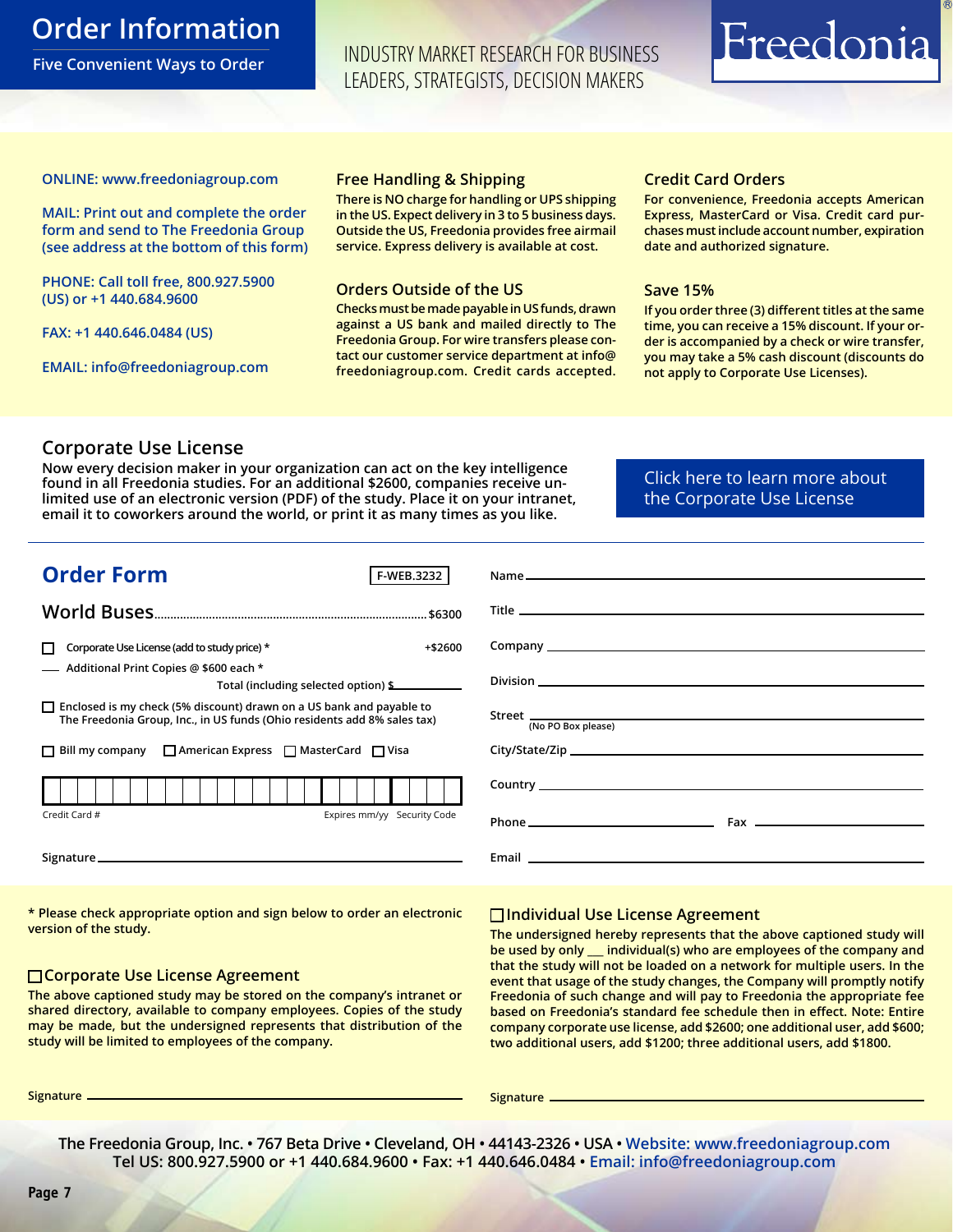### <span id="page-6-0"></span>**Order Information**

**Five Convenient Ways to Order**

INDUSTRY MARKET RESEARCH FOR BUSINESS LEADERS, STRATEGISTS, DECISION MAKERS

# Freedonia

#### **ONLINE: [www.freedoniagroup.com](http://www.freedoniagroup.com/DocumentDetails.aspx?Referrerid=FM-Bro&StudyID=3232)**

**MAIL: Print out and complete the order form and send to The Freedonia Group (see address at the bottom of this form)**

**PHONE: Call toll free, 800.927.5900 (US) or +1 440.684.9600**

**FAX: +1 440.646.0484 (US)**

**EMAIL: [info@freedoniagroup.com](mailto:info@freedoniagroup.com)**

#### **Free Handling & Shipping**

**There is NO charge for handling or UPS shipping in the US. Expect delivery in 3 to 5 business days. Outside the US, Freedonia provides free airmail service. Express delivery is available at cost.**

#### **Orders Outside of the US**

**Checks must be made payable in US funds, drawn against a US bank and mailed directly to The Freedonia Group. For wire transfers please contact our customer service department at info@ freedoniagroup.com. Credit cards accepted.**

#### **Credit Card Orders**

**For convenience, Freedonia accepts American Express, MasterCard or Visa. Credit card purchases must include account number, expiration date and authorized signature.**

#### **Save 15%**

**If you order three (3) different titles at the same time, you can receive a 15% discount. If your order is accompanied by a check or wire transfer, you may take a 5% cash discount (discounts do not apply to Corporate Use Licenses).**

#### **Corporate Use License**

**Now every decision maker in your organization can act on the key intelligence found in all Freedonia studies. For an additional \$2600, companies receive unlimited use of an electronic version (PDF) of the study. Place it on your intranet, email it to coworkers around the world, or print it as many times as you like.** 

[Click here to learn more about](http://www.freedoniagroup.com/pdf/FreedoniaCULBro.pdf)  [the Corporate Use License](http://www.freedoniagroup.com/pdf/FreedoniaCULBro.pdf)

| <b>Order Form</b><br>F-WEB.3232                                                                                                                         |                                                                                                                                                                                                                                      |
|---------------------------------------------------------------------------------------------------------------------------------------------------------|--------------------------------------------------------------------------------------------------------------------------------------------------------------------------------------------------------------------------------------|
|                                                                                                                                                         |                                                                                                                                                                                                                                      |
|                                                                                                                                                         |                                                                                                                                                                                                                                      |
| Corporate Use License (add to study price) *<br>$+ $2600$                                                                                               |                                                                                                                                                                                                                                      |
| - Additional Print Copies @ \$600 each *<br>Total (including selected option) \$                                                                        |                                                                                                                                                                                                                                      |
| $\Box$ Enclosed is my check (5% discount) drawn on a US bank and payable to<br>The Freedonia Group, Inc., in US funds (Ohio residents add 8% sales tax) | (No PO Box please)                                                                                                                                                                                                                   |
| $\Box$ Bill my company $\Box$ American Express $\Box$ MasterCard $\Box$ Visa                                                                            |                                                                                                                                                                                                                                      |
|                                                                                                                                                         |                                                                                                                                                                                                                                      |
| Expires mm/yy Security Code<br>Credit Card #                                                                                                            |                                                                                                                                                                                                                                      |
|                                                                                                                                                         | Email <b>Executive Contract Contract Contract Contract Contract Contract Contract Contract Contract Contract Contract Contract Contract Contract Contract Contract Contract Contract Contract Contract Contract Contract Contrac</b> |
|                                                                                                                                                         |                                                                                                                                                                                                                                      |

**\* Please check appropriate option and sign below to order an electronic version of the study.**

#### **Corporate Use License Agreement**

**The above captioned study may be stored on the company's intranet or shared directory, available to company employees. Copies of the study may be made, but the undersigned represents that distribution of the study will be limited to employees of the company.**

#### **Individual Use License Agreement**

**The undersigned hereby represents that the above captioned study will be used by only \_\_\_ individual(s) who are employees of the company and that the study will not be loaded on a network for multiple users. In the event that usage of the study changes, the Company will promptly notify Freedonia of such change and will pay to Freedonia the appropriate fee based on Freedonia's standard fee schedule then in effect. Note: Entire company corporate use license, add \$2600; one additional user, add \$600; two additional users, add \$1200; three additional users, add \$1800.**

**Signature Signature**

**The Freedonia Group, Inc. • 767 Beta Drive • Cleveland, OH • 44143-2326 • USA • [Website: www.freedoniagroup.com](http://www.freedoniagroup.com/Home.aspx?ReferrerId=FM-Bro) Tel US: 800.927.5900 or +1 440.684.9600 • Fax: +1 440.646.0484 • [Email: info@freedoniagroup.com](mailto:info@freedoniagroup.com)**